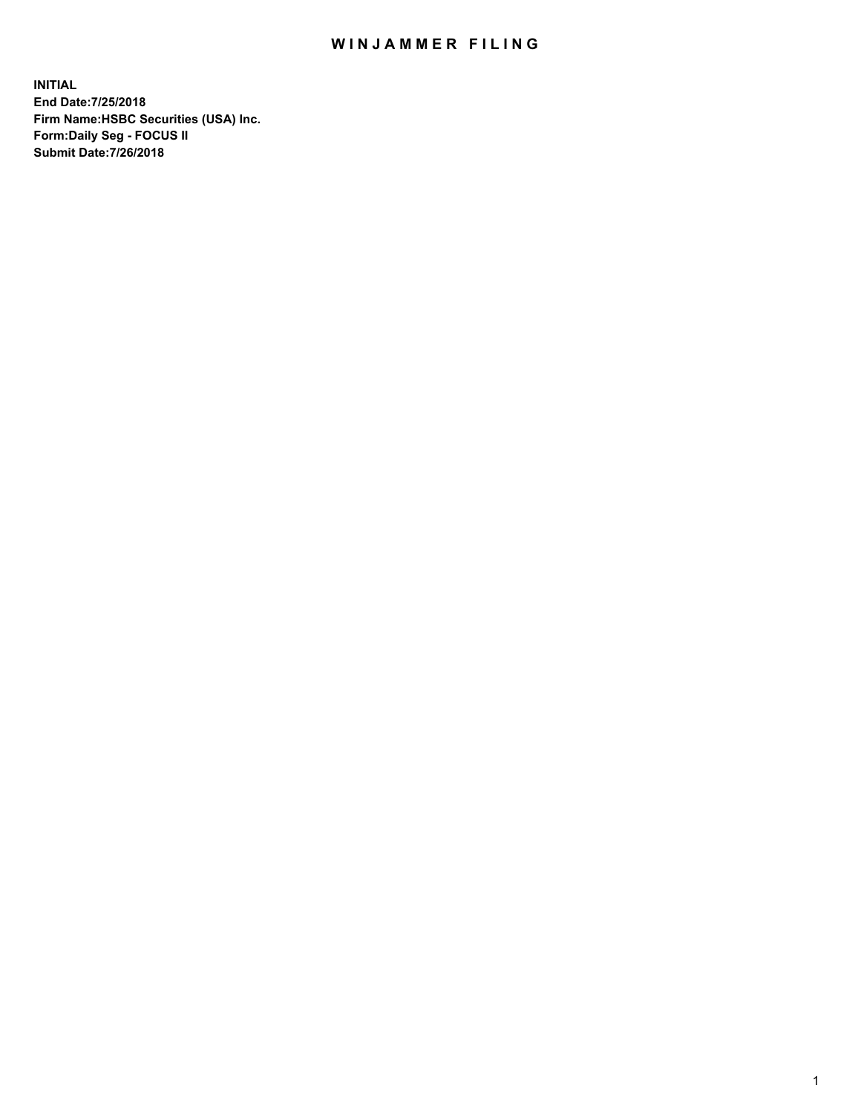## WIN JAMMER FILING

**INITIAL End Date:7/25/2018 Firm Name:HSBC Securities (USA) Inc. Form:Daily Seg - FOCUS II Submit Date:7/26/2018**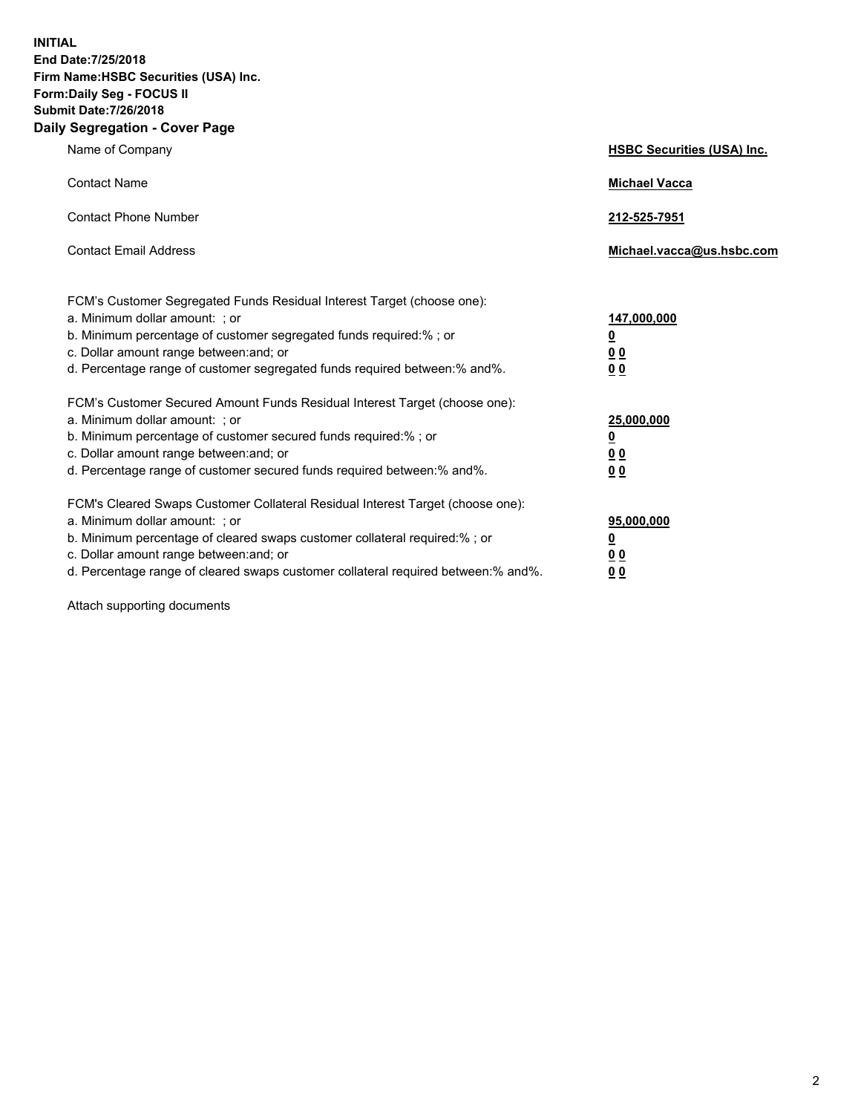**INITIAL End Date:7/25/2018 Firm Name:HSBC Securities (USA) Inc. Form:Daily Seg - FOCUS II Submit Date:7/26/2018 Daily Segregation - Cover Page**

| Name of Company                                                                                                                                                                                                                                                                                                                | <b>HSBC Securities (USA) Inc.</b>               |
|--------------------------------------------------------------------------------------------------------------------------------------------------------------------------------------------------------------------------------------------------------------------------------------------------------------------------------|-------------------------------------------------|
| <b>Contact Name</b>                                                                                                                                                                                                                                                                                                            | <b>Michael Vacca</b>                            |
| <b>Contact Phone Number</b>                                                                                                                                                                                                                                                                                                    | 212-525-7951                                    |
| <b>Contact Email Address</b>                                                                                                                                                                                                                                                                                                   | Michael.vacca@us.hsbc.com                       |
| FCM's Customer Segregated Funds Residual Interest Target (choose one):<br>a. Minimum dollar amount: ; or<br>b. Minimum percentage of customer segregated funds required:% ; or<br>c. Dollar amount range between: and; or<br>d. Percentage range of customer segregated funds required between:% and%.                         | 147,000,000<br><u>0</u><br>0 <sub>0</sub><br>00 |
| FCM's Customer Secured Amount Funds Residual Interest Target (choose one):<br>a. Minimum dollar amount: ; or<br>b. Minimum percentage of customer secured funds required:% ; or<br>c. Dollar amount range between: and; or<br>d. Percentage range of customer secured funds required between: % and %.                         | 25,000,000<br><u>0</u><br>00<br>0 <sub>0</sub>  |
| FCM's Cleared Swaps Customer Collateral Residual Interest Target (choose one):<br>a. Minimum dollar amount: ; or<br>b. Minimum percentage of cleared swaps customer collateral required:% ; or<br>c. Dollar amount range between: and; or<br>d. Percentage range of cleared swaps customer collateral required between:% and%. | 95,000,000<br><u>0</u><br>00<br>00              |

Attach supporting documents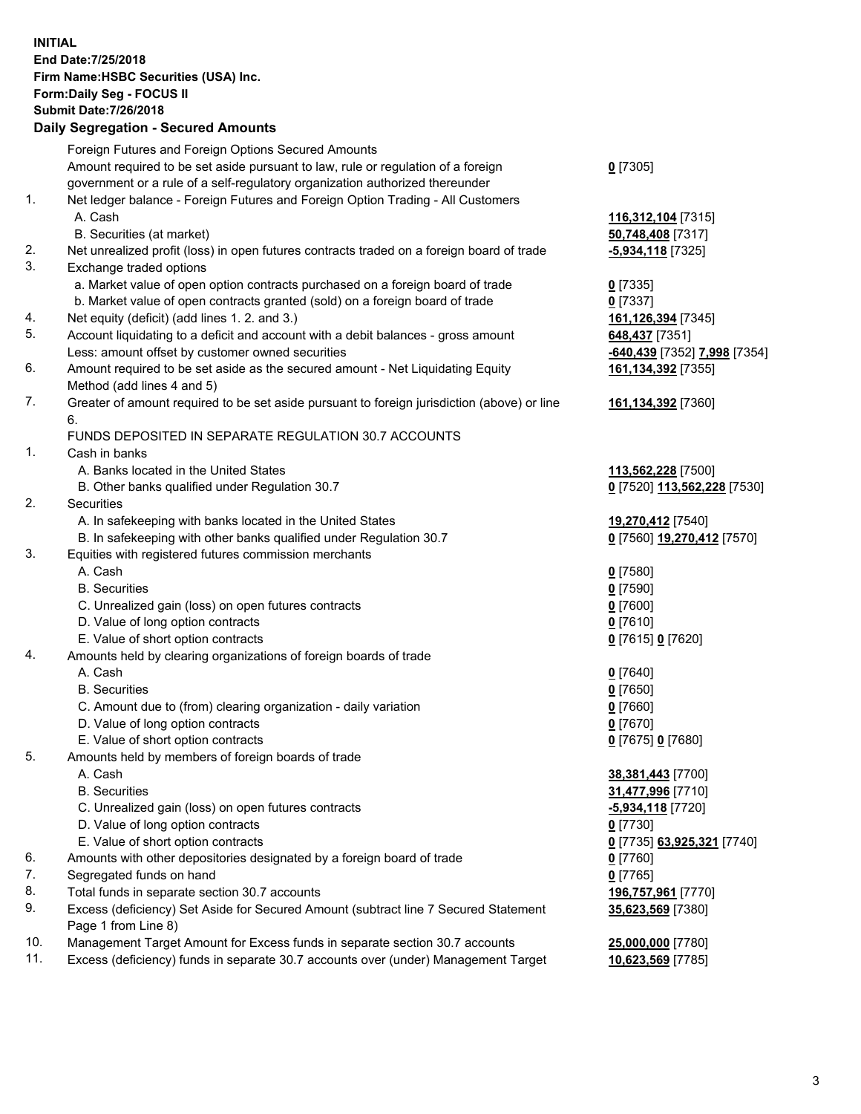**INITIAL End Date:7/25/2018 Firm Name:HSBC Securities (USA) Inc. Form:Daily Seg - FOCUS II Submit Date:7/26/2018 Daily Segregation - Secured Amounts** Foreign Futures and Foreign Options Secured Amounts Amount required to be set aside pursuant to law, rule or regulation of a foreign government or a rule of a self-regulatory organization authorized thereunder 1. Net ledger balance - Foreign Futures and Foreign Option Trading - All Customers A. Cash **116,312,104** [7315] B. Securities (at market) **50,748,408** [7317] 2. Net unrealized profit (loss) in open futures contracts traded on a foreign board of trade **-5,934,118** [7325] 3. Exchange traded options a. Market value of open option contracts purchased on a foreign board of trade **0** [7335] b. Market value of open contracts granted (sold) on a foreign board of trade **0** [7337] 4. Net equity (deficit) (add lines 1. 2. and 3.) **161,126,394** [7345] 5. Account liquidating to a deficit and account with a debit balances - gross amount **648,437** [7351] Less: amount offset by customer owned securities **-640,439** [7352] **7,998** [7354] 6. Amount required to be set aside as the secured amount - Net Liquidating Equity Method (add lines 4 and 5) 7. Greater of amount required to be set aside pursuant to foreign jurisdiction (above) or line 6. FUNDS DEPOSITED IN SEPARATE REGULATION 30.7 ACCOUNTS 1. Cash in banks A. Banks located in the United States **113,562,228** [7500] B. Other banks qualified under Regulation 30.7 **0** [7520] **113,562,228** [7530] 2. Securities A. In safekeeping with banks located in the United States **19,270,412** [7540] B. In safekeeping with other banks qualified under Regulation 30.7 **0** [7560] **19,270,412** [7570] 3. Equities with registered futures commission merchants A. Cash **0** [7580] B. Securities **0** [7590] C. Unrealized gain (loss) on open futures contracts **0** [7600] D. Value of long option contracts **0** [7610]

**0** [7305]

**161,134,392** [7355]

**161,134,392** [7360]

**35,623,569** [7380]

- E. Value of short option contracts **0** [7615] **0** [7620]
- 4. Amounts held by clearing organizations of foreign boards of trade
	- A. Cash **0** [7640] B. Securities **0** [7650]
	- C. Amount due to (from) clearing organization daily variation **0** [7660]
	- D. Value of long option contracts **0** [7670]
	- E. Value of short option contracts **0** [7675] **0** [7680]
- 5. Amounts held by members of foreign boards of trade
	- A. Cash **38,381,443** [7700]
	- B. Securities **31,477,996** [7710]
	- C. Unrealized gain (loss) on open futures contracts **-5,934,118** [7720]
	- D. Value of long option contracts **0** [7730]
	- E. Value of short option contracts **0** [7735] **63,925,321** [7740]
- 6. Amounts with other depositories designated by a foreign board of trade **0** [7760]
- 7. Segregated funds on hand **0** [7765]
- 8. Total funds in separate section 30.7 accounts **196,757,961** [7770]
- 9. Excess (deficiency) Set Aside for Secured Amount (subtract line 7 Secured Statement Page 1 from Line 8)
- 10. Management Target Amount for Excess funds in separate section 30.7 accounts **25,000,000** [7780]
- 11. Excess (deficiency) funds in separate 30.7 accounts over (under) Management Target **10,623,569** [7785]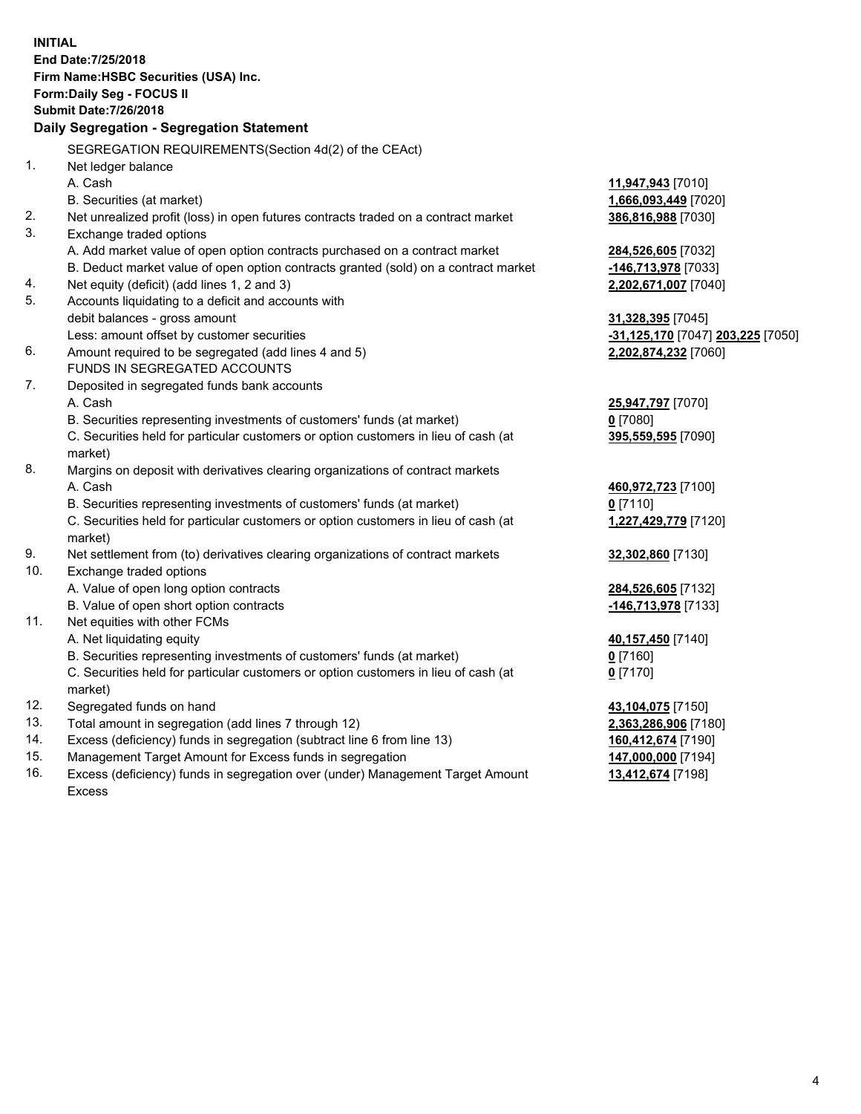**INITIAL End Date:7/25/2018 Firm Name:HSBC Securities (USA) Inc. Form:Daily Seg - FOCUS II Submit Date:7/26/2018 Daily Segregation - Segregation Statement** SEGREGATION REQUIREMENTS(Section 4d(2) of the CEAct) 1. Net ledger balance A. Cash **11,947,943** [7010] B. Securities (at market) **1,666,093,449** [7020] 2. Net unrealized profit (loss) in open futures contracts traded on a contract market **386,816,988** [7030] 3. Exchange traded options A. Add market value of open option contracts purchased on a contract market **284,526,605** [7032] B. Deduct market value of open option contracts granted (sold) on a contract market **-146,713,978** [7033] 4. Net equity (deficit) (add lines 1, 2 and 3) **2,202,671,007** [7040] 5. Accounts liquidating to a deficit and accounts with debit balances - gross amount **31,328,395** [7045] Less: amount offset by customer securities **-31,125,170** [7047] **203,225** [7050] 6. Amount required to be segregated (add lines 4 and 5) **2,202,874,232** [7060] FUNDS IN SEGREGATED ACCOUNTS 7. Deposited in segregated funds bank accounts A. Cash **25,947,797** [7070] B. Securities representing investments of customers' funds (at market) **0** [7080] C. Securities held for particular customers or option customers in lieu of cash (at market) **395,559,595** [7090] 8. Margins on deposit with derivatives clearing organizations of contract markets A. Cash **460,972,723** [7100] B. Securities representing investments of customers' funds (at market) **0** [7110] C. Securities held for particular customers or option customers in lieu of cash (at market) **1,227,429,779** [7120] 9. Net settlement from (to) derivatives clearing organizations of contract markets **32,302,860** [7130] 10. Exchange traded options A. Value of open long option contracts **284,526,605** [7132] B. Value of open short option contracts **-146,713,978** [7133] 11. Net equities with other FCMs A. Net liquidating equity **40,157,450** [7140] B. Securities representing investments of customers' funds (at market) **0** [7160] C. Securities held for particular customers or option customers in lieu of cash (at market) **0** [7170] 12. Segregated funds on hand **43,104,075** [7150] 13. Total amount in segregation (add lines 7 through 12) **2,363,286,906** [7180] 14. Excess (deficiency) funds in segregation (subtract line 6 from line 13) **160,412,674** [7190] 15. Management Target Amount for Excess funds in segregation **147,000,000** [7194] **13,412,674** [7198]

16. Excess (deficiency) funds in segregation over (under) Management Target Amount Excess